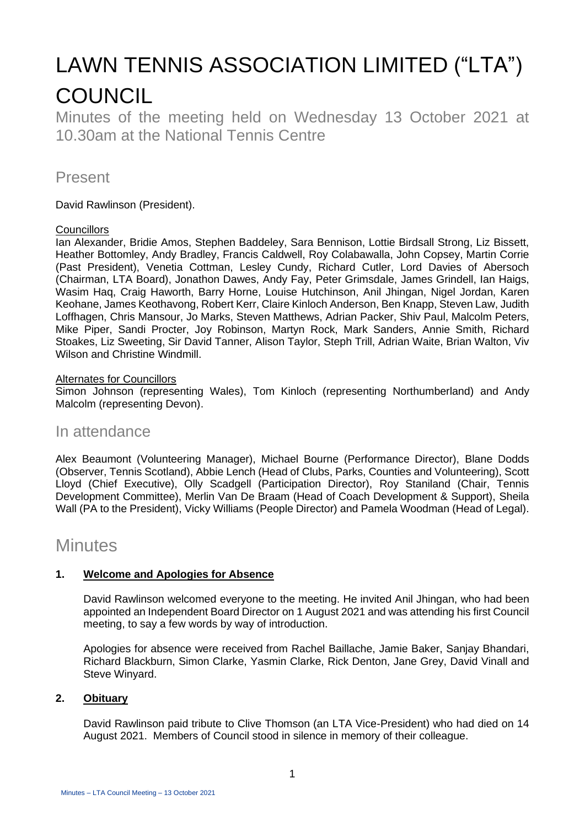# LAWN TENNIS ASSOCIATION LIMITED ("LTA") **COUNCIL**

Minutes of the meeting held on Wednesday 13 October 2021 at 10.30am at the National Tennis Centre

## Present

David Rawlinson (President).

#### **Councillors**

Ian Alexander, Bridie Amos, Stephen Baddeley, Sara Bennison, Lottie Birdsall Strong, Liz Bissett, Heather Bottomley, Andy Bradley, Francis Caldwell, Roy Colabawalla, John Copsey, Martin Corrie (Past President), Venetia Cottman, Lesley Cundy, Richard Cutler, Lord Davies of Abersoch (Chairman, LTA Board), Jonathon Dawes, Andy Fay, Peter Grimsdale, James Grindell, Ian Haigs, Wasim Haq, Craig Haworth, Barry Horne, Louise Hutchinson, Anil Jhingan, Nigel Jordan, Karen Keohane, James Keothavong, Robert Kerr, Claire Kinloch Anderson, Ben Knapp, Steven Law, Judith Loffhagen, Chris Mansour, Jo Marks, Steven Matthews, Adrian Packer, Shiv Paul, Malcolm Peters, Mike Piper, Sandi Procter, Joy Robinson, Martyn Rock, Mark Sanders, Annie Smith, Richard Stoakes, Liz Sweeting, Sir David Tanner, Alison Taylor, Steph Trill, Adrian Waite, Brian Walton, Viv Wilson and Christine Windmill.

#### Alternates for Councillors

Simon Johnson (representing Wales), Tom Kinloch (representing Northumberland) and Andy Malcolm (representing Devon).

### In attendance

Alex Beaumont (Volunteering Manager), Michael Bourne (Performance Director), Blane Dodds (Observer, Tennis Scotland), Abbie Lench (Head of Clubs, Parks, Counties and Volunteering), Scott Lloyd (Chief Executive), Olly Scadgell (Participation Director), Roy Staniland (Chair, Tennis Development Committee), Merlin Van De Braam (Head of Coach Development & Support), Sheila Wall (PA to the President), Vicky Williams (People Director) and Pamela Woodman (Head of Legal).

# **Minutes**

#### **1. Welcome and Apologies for Absence**

David Rawlinson welcomed everyone to the meeting. He invited Anil Jhingan, who had been appointed an Independent Board Director on 1 August 2021 and was attending his first Council meeting, to say a few words by way of introduction.

Apologies for absence were received from Rachel Baillache, Jamie Baker, Sanjay Bhandari, Richard Blackburn, Simon Clarke, Yasmin Clarke, Rick Denton, Jane Grey, David Vinall and Steve Winyard.

#### **2. Obituary**

David Rawlinson paid tribute to Clive Thomson (an LTA Vice-President) who had died on 14 August 2021. Members of Council stood in silence in memory of their colleague.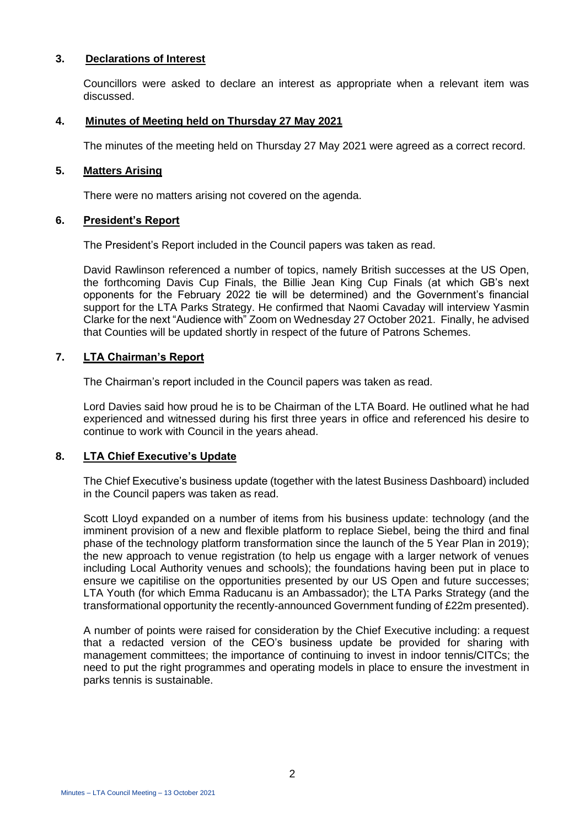#### **3. Declarations of Interest**

Councillors were asked to declare an interest as appropriate when a relevant item was discussed.

#### **4. Minutes of Meeting held on Thursday 27 May 2021**

The minutes of the meeting held on Thursday 27 May 2021 were agreed as a correct record.

#### **5. Matters Arising**

There were no matters arising not covered on the agenda.

#### **6. President's Report**

The President's Report included in the Council papers was taken as read.

David Rawlinson referenced a number of topics, namely British successes at the US Open, the forthcoming Davis Cup Finals, the Billie Jean King Cup Finals (at which GB's next opponents for the February 2022 tie will be determined) and the Government's financial support for the LTA Parks Strategy. He confirmed that Naomi Cavaday will interview Yasmin Clarke for the next "Audience with" Zoom on Wednesday 27 October 2021. Finally, he advised that Counties will be updated shortly in respect of the future of Patrons Schemes.

#### **7. LTA Chairman's Report**

The Chairman's report included in the Council papers was taken as read.

Lord Davies said how proud he is to be Chairman of the LTA Board. He outlined what he had experienced and witnessed during his first three years in office and referenced his desire to continue to work with Council in the years ahead.

#### **8. LTA Chief Executive's Update**

The Chief Executive's business update (together with the latest Business Dashboard) included in the Council papers was taken as read.

Scott Lloyd expanded on a number of items from his business update: technology (and the imminent provision of a new and flexible platform to replace Siebel, being the third and final phase of the technology platform transformation since the launch of the 5 Year Plan in 2019); the new approach to venue registration (to help us engage with a larger network of venues including Local Authority venues and schools); the foundations having been put in place to ensure we capitilise on the opportunities presented by our US Open and future successes; LTA Youth (for which Emma Raducanu is an Ambassador); the LTA Parks Strategy (and the transformational opportunity the recently-announced Government funding of £22m presented).

A number of points were raised for consideration by the Chief Executive including: a request that a redacted version of the CEO's business update be provided for sharing with management committees; the importance of continuing to invest in indoor tennis/CITCs; the need to put the right programmes and operating models in place to ensure the investment in parks tennis is sustainable.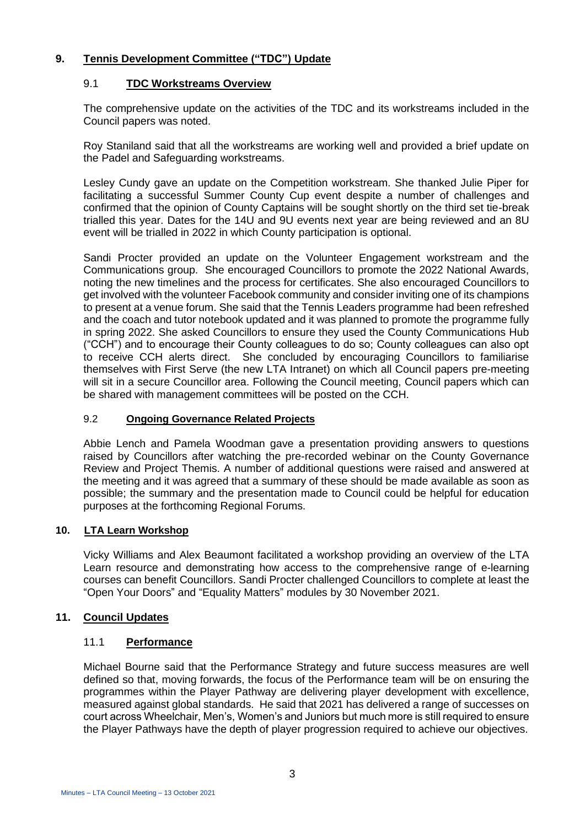#### **9. Tennis Development Committee ("TDC") Update**

#### 9.1 **TDC Workstreams Overview**

The comprehensive update on the activities of the TDC and its workstreams included in the Council papers was noted.

Roy Staniland said that all the workstreams are working well and provided a brief update on the Padel and Safeguarding workstreams.

Lesley Cundy gave an update on the Competition workstream. She thanked Julie Piper for facilitating a successful Summer County Cup event despite a number of challenges and confirmed that the opinion of County Captains will be sought shortly on the third set tie-break trialled this year. Dates for the 14U and 9U events next year are being reviewed and an 8U event will be trialled in 2022 in which County participation is optional.

Sandi Procter provided an update on the Volunteer Engagement workstream and the Communications group. She encouraged Councillors to promote the 2022 National Awards, noting the new timelines and the process for certificates. She also encouraged Councillors to get involved with the volunteer Facebook community and consider inviting one of its champions to present at a venue forum. She said that the Tennis Leaders programme had been refreshed and the coach and tutor notebook updated and it was planned to promote the programme fully in spring 2022. She asked Councillors to ensure they used the County Communications Hub ("CCH") and to encourage their County colleagues to do so; County colleagues can also opt to receive CCH alerts direct. She concluded by encouraging Councillors to familiarise themselves with First Serve (the new LTA Intranet) on which all Council papers pre-meeting will sit in a secure Councillor area. Following the Council meeting, Council papers which can be shared with management committees will be posted on the CCH.

#### 9.2 **Ongoing Governance Related Projects**

Abbie Lench and Pamela Woodman gave a presentation providing answers to questions raised by Councillors after watching the pre-recorded webinar on the County Governance Review and Project Themis. A number of additional questions were raised and answered at the meeting and it was agreed that a summary of these should be made available as soon as possible; the summary and the presentation made to Council could be helpful for education purposes at the forthcoming Regional Forums.

#### **10. LTA Learn Workshop**

Vicky Williams and Alex Beaumont facilitated a workshop providing an overview of the LTA Learn resource and demonstrating how access to the comprehensive range of e-learning courses can benefit Councillors. Sandi Procter challenged Councillors to complete at least the "Open Your Doors" and "Equality Matters" modules by 30 November 2021.

#### **11. Council Updates**

#### 11.1 **Performance**

Michael Bourne said that the Performance Strategy and future success measures are well defined so that, moving forwards, the focus of the Performance team will be on ensuring the programmes within the Player Pathway are delivering player development with excellence, measured against global standards. He said that 2021 has delivered a range of successes on court across Wheelchair, Men's, Women's and Juniors but much more is still required to ensure the Player Pathways have the depth of player progression required to achieve our objectives.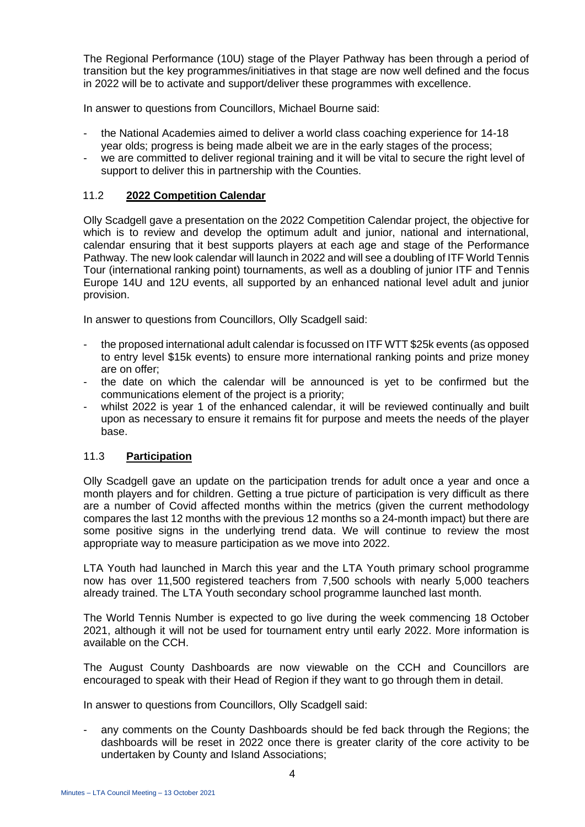The Regional Performance (10U) stage of the Player Pathway has been through a period of transition but the key programmes/initiatives in that stage are now well defined and the focus in 2022 will be to activate and support/deliver these programmes with excellence.

In answer to questions from Councillors, Michael Bourne said:

- the National Academies aimed to deliver a world class coaching experience for 14-18 year olds; progress is being made albeit we are in the early stages of the process;
- we are committed to deliver regional training and it will be vital to secure the right level of support to deliver this in partnership with the Counties.

#### 11.2 **2022 Competition Calendar**

Olly Scadgell gave a presentation on the 2022 Competition Calendar project, the objective for which is to review and develop the optimum adult and junior, national and international, calendar ensuring that it best supports players at each age and stage of the Performance Pathway. The new look calendar will launch in 2022 and will see a doubling of ITF World Tennis Tour (international ranking point) tournaments, as well as a doubling of junior ITF and Tennis Europe 14U and 12U events, all supported by an enhanced national level adult and junior provision.

In answer to questions from Councillors, Olly Scadgell said:

- the proposed international adult calendar is focussed on ITF WTT \$25k events (as opposed to entry level \$15k events) to ensure more international ranking points and prize money are on offer;
- the date on which the calendar will be announced is yet to be confirmed but the communications element of the project is a priority;
- whilst 2022 is year 1 of the enhanced calendar, it will be reviewed continually and built upon as necessary to ensure it remains fit for purpose and meets the needs of the player base.

#### 11.3 **Participation**

Olly Scadgell gave an update on the participation trends for adult once a year and once a month players and for children. Getting a true picture of participation is very difficult as there are a number of Covid affected months within the metrics (given the current methodology compares the last 12 months with the previous 12 months so a 24-month impact) but there are some positive signs in the underlying trend data. We will continue to review the most appropriate way to measure participation as we move into 2022.

LTA Youth had launched in March this year and the LTA Youth primary school programme now has over 11,500 registered teachers from 7,500 schools with nearly 5,000 teachers already trained. The LTA Youth secondary school programme launched last month.

The World Tennis Number is expected to go live during the week commencing 18 October 2021, although it will not be used for tournament entry until early 2022. More information is available on the CCH.

The August County Dashboards are now viewable on the CCH and Councillors are encouraged to speak with their Head of Region if they want to go through them in detail.

In answer to questions from Councillors, Olly Scadgell said:

any comments on the County Dashboards should be fed back through the Regions; the dashboards will be reset in 2022 once there is greater clarity of the core activity to be undertaken by County and Island Associations;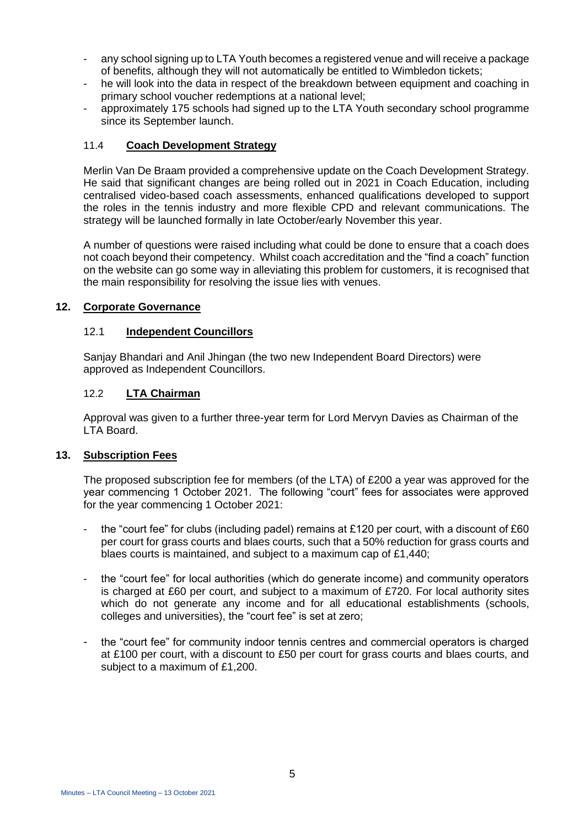- any school signing up to LTA Youth becomes a registered venue and will receive a package of benefits, although they will not automatically be entitled to Wimbledon tickets;
- he will look into the data in respect of the breakdown between equipment and coaching in primary school voucher redemptions at a national level;
- approximately 175 schools had signed up to the LTA Youth secondary school programme since its September launch.

#### 11.4 **Coach Development Strategy**

Merlin Van De Braam provided a comprehensive update on the Coach Development Strategy. He said that significant changes are being rolled out in 2021 in Coach Education, including centralised video-based coach assessments, enhanced qualifications developed to support the roles in the tennis industry and more flexible CPD and relevant communications. The strategy will be launched formally in late October/early November this year.

A number of questions were raised including what could be done to ensure that a coach does not coach beyond their competency. Whilst coach accreditation and the "find a coach" function on the website can go some way in alleviating this problem for customers, it is recognised that the main responsibility for resolving the issue lies with venues.

#### **12. Corporate Governance**

#### 12.1 **Independent Councillors**

Sanjay Bhandari and Anil Jhingan (the two new Independent Board Directors) were approved as Independent Councillors.

#### 12.2 **LTA Chairman**

Approval was given to a further three-year term for Lord Mervyn Davies as Chairman of the LTA Board.

#### **13. Subscription Fees**

The proposed subscription fee for members (of the LTA) of £200 a year was approved for the year commencing 1 October 2021. The following "court" fees for associates were approved for the year commencing 1 October 2021:

- the "court fee" for clubs (including padel) remains at £120 per court, with a discount of £60 per court for grass courts and blaes courts, such that a 50% reduction for grass courts and blaes courts is maintained, and subject to a maximum cap of £1,440;
- the "court fee" for local authorities (which do generate income) and community operators is charged at £60 per court, and subject to a maximum of £720. For local authority sites which do not generate any income and for all educational establishments (schools, colleges and universities), the "court fee" is set at zero;
- the "court fee" for community indoor tennis centres and commercial operators is charged at £100 per court, with a discount to £50 per court for grass courts and blaes courts, and subject to a maximum of £1,200.